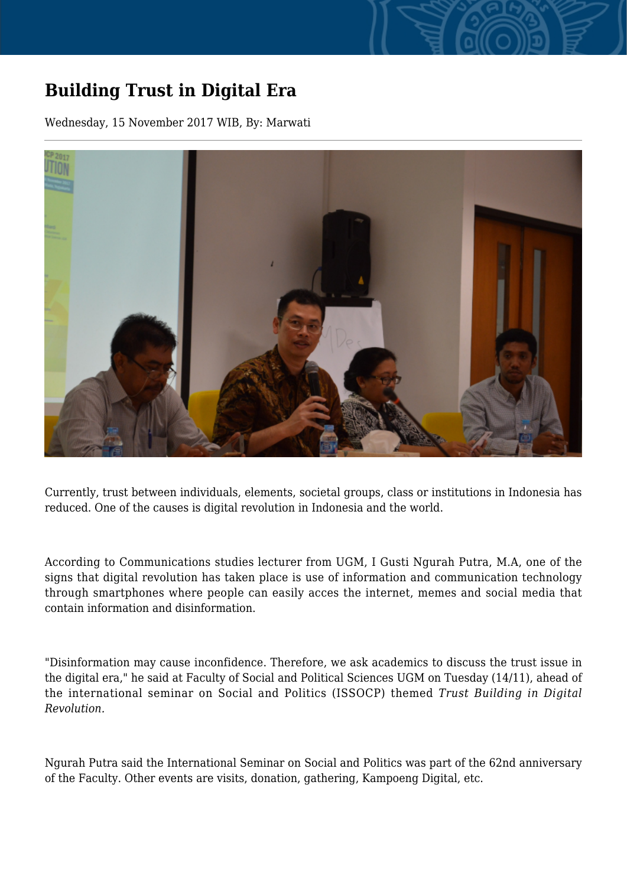## **Building Trust in Digital Era**

Wednesday, 15 November 2017 WIB, By: Marwati



Currently, trust between individuals, elements, societal groups, class or institutions in Indonesia has reduced. One of the causes is digital revolution in Indonesia and the world.

According to Communications studies lecturer from UGM, I Gusti Ngurah Putra, M.A, one of the signs that digital revolution has taken place is use of information and communication technology through smartphones where people can easily acces the internet, memes and social media that contain information and disinformation.

"Disinformation may cause inconfidence. Therefore, we ask academics to discuss the trust issue in the digital era," he said at Faculty of Social and Political Sciences UGM on Tuesday (14/11), ahead of the international seminar on Social and Politics (ISSOCP) themed *Trust Building in Digital Revolution.*

Ngurah Putra said the International Seminar on Social and Politics was part of the 62nd anniversary of the Faculty. Other events are visits, donation, gathering, Kampoeng Digital, etc.